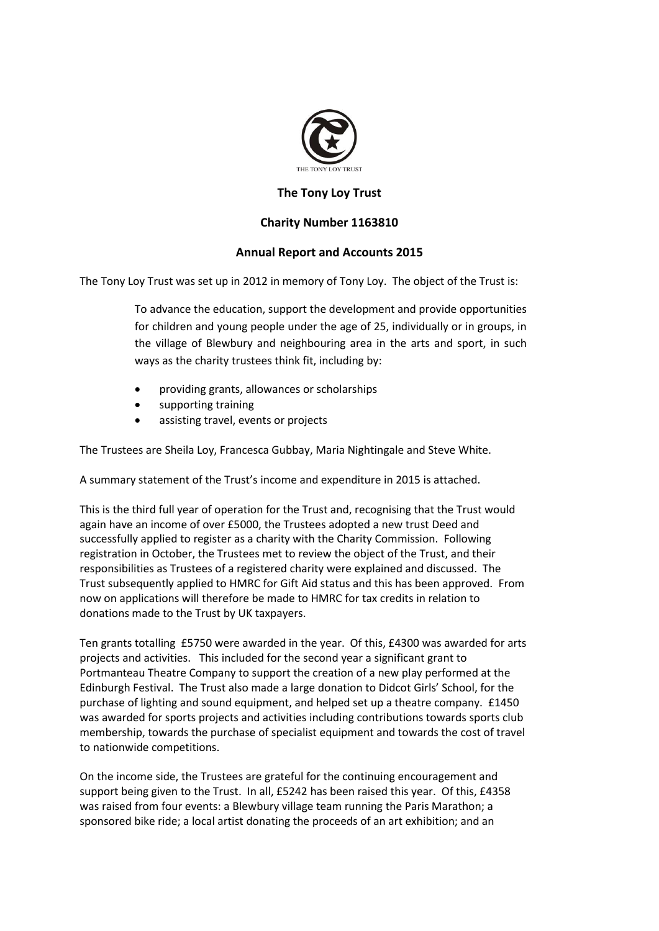

## **The Tony Loy Trust**

## **Charity Number 1163810**

## **Annual Report and Accounts 2015**

The Tony Loy Trust was set up in 2012 in memory of Tony Loy. The object of the Trust is:

To advance the education, support the development and provide opportunities for children and young people under the age of 25, individually or in groups, in the village of Blewbury and neighbouring area in the arts and sport, in such ways as the charity trustees think fit, including by:

- providing grants, allowances or scholarships
- supporting training
- assisting travel, events or projects

The Trustees are Sheila Loy, Francesca Gubbay, Maria Nightingale and Steve White.

A summary statement of the Trust's income and expenditure in 2015 is attached.

This is the third full year of operation for the Trust and, recognising that the Trust would again have an income of over £5000, the Trustees adopted a new trust Deed and successfully applied to register as a charity with the Charity Commission. Following registration in October, the Trustees met to review the object of the Trust, and their responsibilities as Trustees of a registered charity were explained and discussed. The Trust subsequently applied to HMRC for Gift Aid status and this has been approved. From now on applications will therefore be made to HMRC for tax credits in relation to donations made to the Trust by UK taxpayers.

Ten grants totalling £5750 were awarded in the year. Of this, £4300 was awarded for arts projects and activities. This included for the second year a significant grant to Portmanteau Theatre Company to support the creation of a new play performed at the Edinburgh Festival. The Trust also made a large donation to Didcot Girls' School, for the purchase of lighting and sound equipment, and helped set up a theatre company. £1450 was awarded for sports projects and activities including contributions towards sports club membership, towards the purchase of specialist equipment and towards the cost of travel to nationwide competitions.

On the income side, the Trustees are grateful for the continuing encouragement and support being given to the Trust. In all, £5242 has been raised this year. Of this, £4358 was raised from four events: a Blewbury village team running the Paris Marathon; a sponsored bike ride; a local artist donating the proceeds of an art exhibition; and an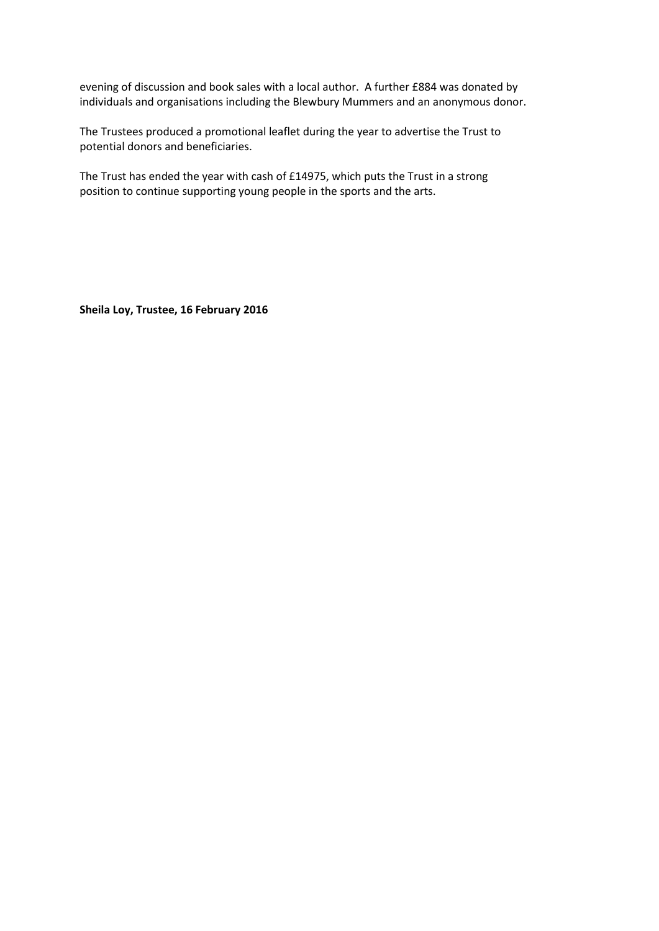evening of discussion and book sales with a local author. A further £884 was donated by individuals and organisations including the Blewbury Mummers and an anonymous donor.

The Trustees produced a promotional leaflet during the year to advertise the Trust to potential donors and beneficiaries.

The Trust has ended the year with cash of £14975, which puts the Trust in a strong position to continue supporting young people in the sports and the arts.

**Sheila Loy, Trustee, 16 February 2016**